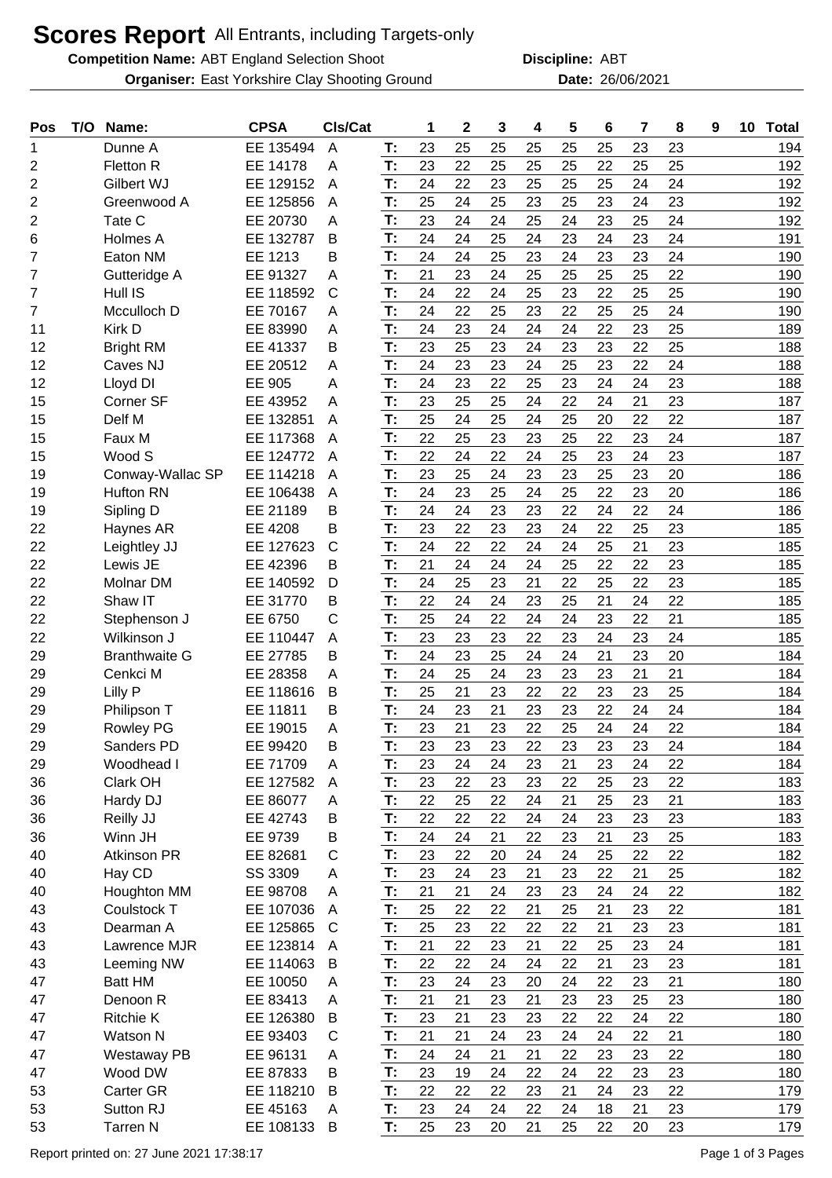## **Scores Report** All Entrants, including Targets-only

**Competition Name:** ABT England Selection Shoot **ABT Discipline:** ABT

**Organiser:** East Yorkshire Clay Shooting Ground **26/06/2021** Date: 26/06/2021

**Discipline:**

| Pos | T/O | Name:                | <b>CPSA</b> | CIs/Cat        |    | 1  | $\mathbf 2$ | 3  | 4  | 5  | 6  | 7  | 8  | 9 | 10 | <b>Total</b> |
|-----|-----|----------------------|-------------|----------------|----|----|-------------|----|----|----|----|----|----|---|----|--------------|
| 1   |     | Dunne A              | EE 135494   | $\overline{A}$ | T: | 23 | 25          | 25 | 25 | 25 | 25 | 23 | 23 |   |    | 194          |
| 2   |     | Fletton R            | EE 14178    | Α              | T: | 23 | 22          | 25 | 25 | 25 | 22 | 25 | 25 |   |    | 192          |
| 2   |     | Gilbert WJ           | EE 129152   | A              | T: | 24 | 22          | 23 | 25 | 25 | 25 | 24 | 24 |   |    | 192          |
| 2   |     | Greenwood A          | EE 125856   | A              | T: | 25 | 24          | 25 | 23 | 25 | 23 | 24 | 23 |   |    | 192          |
| 2   |     | Tate C               | EE 20730    | A              | T: | 23 | 24          | 24 | 25 | 24 | 23 | 25 | 24 |   |    | 192          |
| 6   |     | Holmes A             | EE 132787   | B              | T: | 24 | 24          | 25 | 24 | 23 | 24 | 23 | 24 |   |    | 191          |
| 7   |     | Eaton NM             | EE 1213     | B              | T: | 24 | 24          | 25 | 23 | 24 | 23 | 23 | 24 |   |    | 190          |
| 7   |     | Gutteridge A         | EE 91327    | A              | T: | 21 | 23          | 24 | 25 | 25 | 25 | 25 | 22 |   |    | 190          |
| 7   |     | Hull IS              | EE 118592   | $\mathsf{C}$   | T: | 24 | 22          | 24 | 25 | 23 | 22 | 25 | 25 |   |    | 190          |
| 7   |     | Mcculloch D          | EE 70167    | A              | T: | 24 | 22          | 25 | 23 | 22 | 25 | 25 | 24 |   |    | 190          |
| 11  |     | Kirk D               | EE 83990    | A              | T: | 24 | 23          | 24 | 24 | 24 | 22 | 23 | 25 |   |    | 189          |
| 12  |     | <b>Bright RM</b>     | EE 41337    | B              | T: | 23 | 25          | 23 | 24 | 23 | 23 | 22 | 25 |   |    | 188          |
| 12  |     | Caves NJ             | EE 20512    | A              | T: | 24 | 23          | 23 | 24 | 25 | 23 | 22 | 24 |   |    | 188          |
| 12  |     | Lloyd DI             | EE 905      | A              | T: | 24 | 23          | 22 | 25 | 23 | 24 | 24 | 23 |   |    | 188          |
| 15  |     | Corner SF            | EE 43952    | A              | T: | 23 | 25          | 25 | 24 | 22 | 24 | 21 | 23 |   |    | 187          |
| 15  |     | Delf M               | EE 132851   | A              | T: | 25 | 24          | 25 | 24 | 25 | 20 | 22 | 22 |   |    | 187          |
| 15  |     | Faux M               | EE 117368   | A              | T: | 22 | 25          | 23 | 23 | 25 | 22 | 23 | 24 |   |    | 187          |
| 15  |     | Wood S               | EE 124772   | Α              | T: | 22 | 24          | 22 | 24 | 25 | 23 | 24 | 23 |   |    | 187          |
| 19  |     | Conway-Wallac SP     | EE 114218   | A              | T: | 23 | 25          | 24 | 23 | 23 | 25 | 23 | 20 |   |    | 186          |
| 19  |     | <b>Hufton RN</b>     | EE 106438   | A              | T: | 24 | 23          | 25 | 24 | 25 | 22 | 23 | 20 |   |    | 186          |
| 19  |     | Sipling D            | EE 21189    | В              | T: | 24 | 24          | 23 | 23 | 22 | 24 | 22 | 24 |   |    | 186          |
| 22  |     | Haynes AR            | EE 4208     | B              | T: | 23 | 22          | 23 | 23 | 24 | 22 | 25 | 23 |   |    | 185          |
| 22  |     | Leightley JJ         | EE 127623   | $\mathsf{C}$   | T: | 24 | 22          | 22 | 24 | 24 | 25 | 21 | 23 |   |    | 185          |
| 22  |     | Lewis JE             | EE 42396    | B              | T: | 21 | 24          | 24 | 24 | 25 | 22 | 22 | 23 |   |    | 185          |
| 22  |     | <b>Molnar DM</b>     | EE 140592   | D              | T: | 24 | 25          | 23 | 21 | 22 | 25 | 22 | 23 |   |    | 185          |
| 22  |     | Shaw IT              | EE 31770    | B              | T: | 22 | 24          | 24 | 23 | 25 | 21 | 24 | 22 |   |    | 185          |
| 22  |     | Stephenson J         | EE 6750     | $\mathsf{C}$   | T: | 25 | 24          | 22 | 24 | 24 | 23 | 22 | 21 |   |    | 185          |
| 22  |     | Wilkinson J          | EE 110447   | A              | T: | 23 | 23          | 23 | 22 | 23 | 24 | 23 | 24 |   |    | 185          |
| 29  |     | <b>Branthwaite G</b> | EE 27785    | B              | T: | 24 | 23          | 25 | 24 | 24 | 21 | 23 | 20 |   |    | 184          |
| 29  |     | Cenkci M             | EE 28358    | A              | T: | 24 | 25          | 24 | 23 | 23 | 23 | 21 | 21 |   |    | 184          |
| 29  |     | Lilly P              | EE 118616   | B              | T: | 25 | 21          | 23 | 22 | 22 | 23 | 23 | 25 |   |    | 184          |
| 29  |     | Philipson T          | EE 11811    | в              | T: | 24 | 23          | 21 | 23 | 23 | 22 | 24 | 24 |   |    | 184          |
| 29  |     | <b>Rowley PG</b>     | EE 19015    | A              | T: | 23 | 21          | 23 | 22 | 25 | 24 | 24 | 22 |   |    | 184          |
| 29  |     | Sanders PD           | EE 99420    | B              | Т: | 23 | 23          | 23 | 22 | 23 | 23 | 23 | 24 |   |    | 184          |
| 29  |     | Woodhead I           | EE 71709    | A              | T: | 23 | 24          | 24 | 23 | 21 | 23 | 24 | 22 |   |    | 184          |
| 36  |     | Clark OH             | EE 127582   | A              | T: | 23 | 22          | 23 | 23 | 22 | 25 | 23 | 22 |   |    | 183          |
| 36  |     | Hardy DJ             | EE 86077    | A              | T: | 22 | 25          | 22 | 24 | 21 | 25 | 23 | 21 |   |    | 183          |
| 36  |     | Reilly JJ            | EE 42743    | B              | T: | 22 | 22          | 22 | 24 | 24 | 23 | 23 | 23 |   |    | 183          |
| 36  |     | Winn JH              | EE 9739     | B              | T: | 24 | 24          | 21 | 22 | 23 | 21 | 23 | 25 |   |    | 183          |
| 40  |     | Atkinson PR          | EE 82681    | C              | T: | 23 | 22          | 20 | 24 | 24 | 25 | 22 | 22 |   |    | 182          |
| 40  |     | Hay CD               | SS 3309     | A              | T: | 23 | 24          | 23 | 21 | 23 | 22 | 21 | 25 |   |    | 182          |
| 40  |     | Houghton MM          | EE 98708    | A              | T: | 21 | 21          | 24 | 23 | 23 | 24 | 24 | 22 |   |    | 182          |
| 43  |     | Coulstock T          | EE 107036   | A              | T: | 25 | 22          | 22 | 21 | 25 | 21 | 23 | 22 |   |    | 181          |
| 43  |     | Dearman A            | EE 125865   | C              | T: | 25 | 23          | 22 | 22 | 22 | 21 | 23 | 23 |   |    | 181          |
| 43  |     | Lawrence MJR         | EE 123814   | A              | T: | 21 | 22          | 23 | 21 | 22 | 25 | 23 | 24 |   |    | 181          |
| 43  |     | Leeming NW           | EE 114063   | B              | T: | 22 | 22          | 24 | 24 | 22 | 21 | 23 | 23 |   |    | 181          |
| 47  |     | <b>Batt HM</b>       | EE 10050    | A              | T: | 23 | 24          | 23 | 20 | 24 | 22 | 23 | 21 |   |    | 180          |
| 47  |     | Denoon R             | EE 83413    | A              | T: | 21 | 21          | 23 | 21 | 23 | 23 | 25 | 23 |   |    | 180          |
| 47  |     | <b>Ritchie K</b>     | EE 126380   | B              | T: | 23 | 21          | 23 | 23 | 22 | 22 | 24 | 22 |   |    | 180          |
| 47  |     | Watson N             | EE 93403    | C              | T: | 21 | 21          | 24 | 23 | 24 | 24 | 22 | 21 |   |    | 180          |
| 47  |     | <b>Westaway PB</b>   | EE 96131    | A              | T: | 24 | 24          | 21 | 21 | 22 | 23 | 23 | 22 |   |    | 180          |
| 47  |     | Wood DW              | EE 87833    | B              | T: | 23 | 19          | 24 | 22 | 24 | 22 | 23 | 23 |   |    | 180          |
| 53  |     | Carter GR            | EE 118210   | B              | T: | 22 | 22          | 22 | 23 | 21 | 24 | 23 | 22 |   |    | 179          |
| 53  |     | Sutton RJ            | EE 45163    | A              | T: | 23 | 24          | 24 | 22 | 24 | 18 | 21 | 23 |   |    | 179          |
| 53  |     | <b>Tarren N</b>      | EE 108133   | B              | T: | 25 | 23          | 20 | 21 | 25 | 22 | 20 | 23 |   |    | 179          |
|     |     |                      |             |                |    |    |             |    |    |    |    |    |    |   |    |              |

Report printed on: 27 June 2021 17:38:17 energy and the state of 3 Page 1 of 3 Pages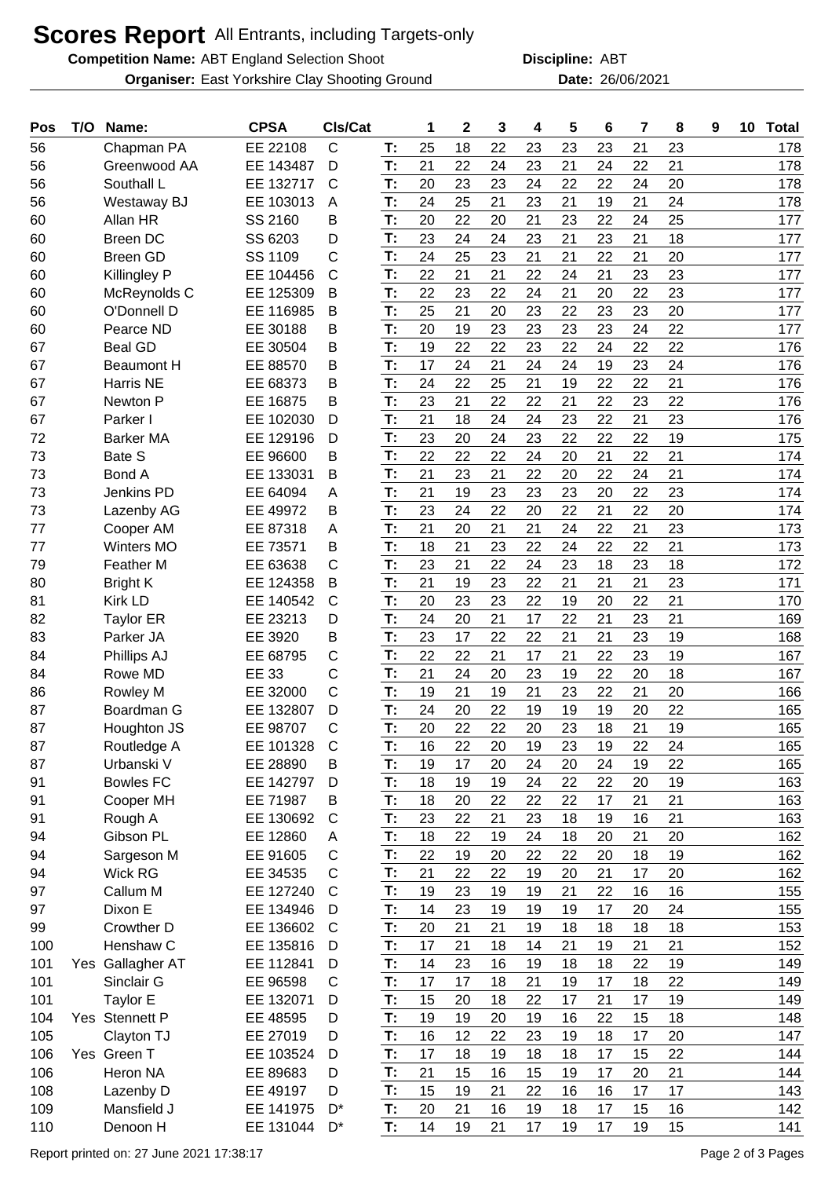## **Scores Report** All Entrants, including Targets-only

**Competition Name:** ABT England Selection Shoot **ABT Discipline:** ABT

**Organiser:** East Yorkshire Clay Shooting Ground **26/06/2021** Date: 26/06/2021

**Discipline:**

| Pos | T/O | Name:             | <b>CPSA</b>  | CIs/Cat      |    | 1  | $\mathbf 2$ | 3  | 4  | 5  | $6\phantom{1}6$ | 7  | 8  | 9 | 10 | <b>Total</b> |
|-----|-----|-------------------|--------------|--------------|----|----|-------------|----|----|----|-----------------|----|----|---|----|--------------|
| 56  |     | Chapman PA        | EE 22108     | $\mathsf{C}$ | T: | 25 | 18          | 22 | 23 | 23 | 23              | 21 | 23 |   |    | 178          |
| 56  |     | Greenwood AA      | EE 143487    | D            | T: | 21 | 22          | 24 | 23 | 21 | 24              | 22 | 21 |   |    | 178          |
| 56  |     | Southall L        | EE 132717    | $\mathsf{C}$ | T: | 20 | 23          | 23 | 24 | 22 | 22              | 24 | 20 |   |    | 178          |
| 56  |     | Westaway BJ       | EE 103013    | A            | T: | 24 | 25          | 21 | 23 | 21 | 19              | 21 | 24 |   |    | 178          |
| 60  |     | Allan HR          | SS 2160      | Β            | T: | 20 | 22          | 20 | 21 | 23 | 22              | 24 | 25 |   |    | 177          |
| 60  |     | <b>Breen DC</b>   | SS 6203      | D            | T: | 23 | 24          | 24 | 23 | 21 | 23              | 21 | 18 |   |    | 177          |
| 60  |     | <b>Breen GD</b>   | SS 1109      | C            | T: | 24 | 25          | 23 | 21 | 21 | 22              | 21 | 20 |   |    | 177          |
| 60  |     | Killingley P      | EE 104456    | $\mathsf{C}$ | T: | 22 | 21          | 21 | 22 | 24 | 21              | 23 | 23 |   |    | 177          |
| 60  |     | McReynolds C      | EE 125309    | B            | T: | 22 | 23          | 22 | 24 | 21 | 20              | 22 | 23 |   |    | 177          |
| 60  |     | O'Donnell D       | EE 116985    | B            | T: | 25 | 21          | 20 | 23 | 22 | 23              | 23 | 20 |   |    | 177          |
| 60  |     | Pearce ND         | EE 30188     | в            | T: | 20 | 19          | 23 | 23 | 23 | 23              | 24 | 22 |   |    | 177          |
| 67  |     | <b>Beal GD</b>    | EE 30504     | в            | T: | 19 | 22          | 22 | 23 | 22 | 24              | 22 | 22 |   |    | 176          |
| 67  |     | <b>Beaumont H</b> | EE 88570     | Β            | T: | 17 | 24          | 21 | 24 | 24 | 19              | 23 | 24 |   |    | 176          |
| 67  |     | Harris NE         | EE 68373     | Β            | T: | 24 | 22          | 25 | 21 | 19 | 22              | 22 | 21 |   |    | 176          |
| 67  |     | Newton P          | EE 16875     | в            | T: | 23 | 21          | 22 | 22 | 21 | 22              | 23 | 22 |   |    | 176          |
| 67  |     | Parker I          | EE 102030    | D            | T: | 21 | 18          | 24 | 24 | 23 | 22              | 21 | 23 |   |    | 176          |
| 72  |     | <b>Barker MA</b>  | EE 129196    | D            | T: | 23 | 20          | 24 | 23 | 22 | 22              | 22 | 19 |   |    | 175          |
| 73  |     | Bate S            | EE 96600     | в            | T: | 22 | 22          | 22 | 24 | 20 | 21              | 22 | 21 |   |    | 174          |
| 73  |     | Bond A            | EE 133031    | B            | T: | 21 | 23          | 21 | 22 | 20 | 22              | 24 | 21 |   |    | 174          |
| 73  |     | Jenkins PD        | EE 64094     | Α            | T: | 21 | 19          | 23 | 23 | 23 | 20              | 22 | 23 |   |    | 174          |
| 73  |     | Lazenby AG        | EE 49972     | В            | T: | 23 | 24          | 22 | 20 | 22 | 21              | 22 | 20 |   |    | 174          |
| 77  |     | Cooper AM         | EE 87318     | Α            | T: | 21 | 20          | 21 | 21 | 24 | 22              | 21 | 23 |   |    | 173          |
| 77  |     | <b>Winters MO</b> | EE 73571     | B            | T: | 18 | 21          | 23 | 22 | 24 | 22              | 22 | 21 |   |    | 173          |
| 79  |     | Feather M         | EE 63638     | C            | T: | 23 | 21          | 22 | 24 | 23 | 18              | 23 | 18 |   |    | 172          |
| 80  |     | <b>Bright K</b>   | EE 124358    | B            | T: | 21 | 19          | 23 | 22 | 21 | 21              | 21 | 23 |   |    | 171          |
| 81  |     | Kirk LD           | EE 140542    | $\mathsf C$  | T: | 20 | 23          | 23 | 22 | 19 | 20              | 22 | 21 |   |    | 170          |
| 82  |     | <b>Taylor ER</b>  | EE 23213     | D            | T: | 24 | 20          | 21 | 17 | 22 | 21              | 23 | 21 |   |    | 169          |
| 83  |     | Parker JA         | EE 3920      | В            | T: | 23 | 17          | 22 | 22 | 21 | 21              | 23 | 19 |   |    | 168          |
| 84  |     | Phillips AJ       | EE 68795     | C            | T: | 22 | 22          | 21 | 17 | 21 | 22              | 23 | 19 |   |    | 167          |
| 84  |     | Rowe MD           | <b>EE 33</b> | C            | T: | 21 | 24          | 20 | 23 | 19 | 22              | 20 | 18 |   |    | 167          |
| 86  |     | <b>Rowley M</b>   | EE 32000     | C            | T: | 19 | 21          | 19 | 21 | 23 | 22              | 21 | 20 |   |    | 166          |
| 87  |     | Boardman G        | EE 132807    | D            | T: | 24 | 20          | 22 | 19 | 19 | 19              | 20 | 22 |   |    | 165          |
| 87  |     | Houghton JS       | EE 98707     | C            | T: | 20 | 22          | 22 | 20 | 23 | 18              | 21 | 19 |   |    | 165          |
| 87  |     | Routledge A       | EE 101328    | $\mathsf{C}$ | T: | 16 | 22          | 20 | 19 | 23 | 19              | 22 | 24 |   |    | 165          |
| 87  |     | Urbanski V        | EE 28890     | B            | T: | 19 | 17          | 20 | 24 | 20 | 24              | 19 | 22 |   |    | 165          |
| 91  |     | <b>Bowles FC</b>  | EE 142797    | D            | T: | 18 | 19          | 19 | 24 | 22 | 22              | 20 | 19 |   |    | 163          |
| 91  |     | Cooper MH         | EE 71987     | B            | T. | 18 | 20          | 22 | 22 | 22 | 17              | 21 | 21 |   |    | 163          |
| 91  |     | Rough A           | EE 130692    | $\mathsf{C}$ | T: | 23 | 22          | 21 | 23 | 18 | 19              | 16 | 21 |   |    | 163          |
| 94  |     | Gibson PL         | EE 12860     | A            | T: | 18 | 22          | 19 | 24 | 18 | 20              | 21 | 20 |   |    | 162          |
| 94  |     | Sargeson M        | EE 91605     | C            | T. | 22 | 19          | 20 | 22 | 22 | 20              | 18 | 19 |   |    | 162          |
| 94  |     | Wick RG           | EE 34535     | C            | T. | 21 | 22          | 22 | 19 | 20 | 21              | 17 | 20 |   |    | 162          |
| 97  |     | Callum M          | EE 127240    | C            | T: | 19 | 23          | 19 | 19 | 21 | 22              | 16 | 16 |   |    | 155          |
| 97  |     | Dixon E           | EE 134946    | D            | T: | 14 | 23          | 19 | 19 | 19 | 17              | 20 | 24 |   |    | 155          |
| 99  |     | Crowther D        | EE 136602    | $\mathsf{C}$ | T: | 20 | 21          | 21 | 19 | 18 | 18              | 18 | 18 |   |    | 153          |
| 100 |     | Henshaw C         | EE 135816    | D            | T: | 17 | 21          | 18 | 14 | 21 | 19              | 21 | 21 |   |    | 152          |
| 101 |     | Yes Gallagher AT  | EE 112841    | D            | T. | 14 | 23          | 16 | 19 | 18 | 18              | 22 | 19 |   |    | 149          |
| 101 |     | Sinclair G        | EE 96598     | C            | T: | 17 | 17          | 18 | 21 | 19 | 17              | 18 | 22 |   |    | 149          |
| 101 |     | Taylor E          | EE 132071    | D            | T: | 15 | 20          | 18 | 22 | 17 | 21              | 17 | 19 |   |    | 149          |
| 104 |     | Yes Stennett P    | EE 48595     | D            | T. | 19 | 19          | 20 | 19 | 16 | 22              | 15 | 18 |   |    | 148          |
| 105 |     | Clayton TJ        | EE 27019     | D            | T. | 16 | 12          | 22 | 23 | 19 | 18              | 17 | 20 |   |    | 147          |
| 106 |     | Yes Green T       | EE 103524    | D            | T: | 17 | 18          | 19 | 18 | 18 | 17              | 15 | 22 |   |    | 144          |
| 106 |     | Heron NA          | EE 89683     | D            | T: | 21 | 15          | 16 | 15 | 19 | 17              | 20 | 21 |   |    | 144          |
| 108 |     | Lazenby D         | EE 49197     | D            | T. | 15 | 19          | 21 | 22 | 16 | 16              | 17 | 17 |   |    | 143          |
| 109 |     | Mansfield J       | EE 141975    | $D^*$        | T: | 20 | 21          | 16 | 19 | 18 | 17              | 15 | 16 |   |    | 142          |
| 110 |     | Denoon H          | EE 131044    | D*           | T: | 14 | 19          | 21 | 17 | 19 | 17              | 19 | 15 |   |    | 141          |
|     |     |                   |              |              |    |    |             |    |    |    |                 |    |    |   |    |              |